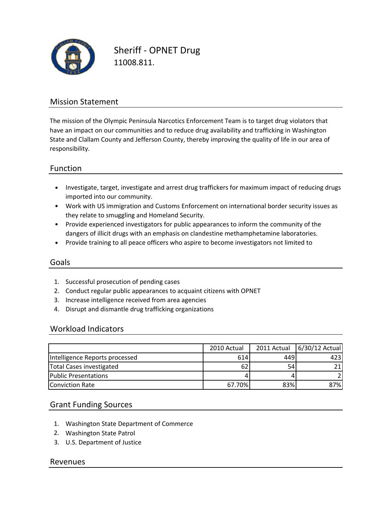

Sheriff ‐ OPNET Drug 11008.811.

### Mission Statement

The mission of the Olympic Peninsula Narcotics Enforcement Team is to target drug violators that have an impact on our communities and to reduce drug availability and trafficking in Washington State and Clallam County and Jefferson County, thereby improving the quality of life in our area of responsibility.

### Function

- Investigate, target, investigate and arrest drug traffickers for maximum impact of reducing drugs imported into our community.
- Work with US immigration and Customs Enforcement on international border security issues as they relate to smuggling and Homeland Security.
- Provide experienced investigators for public appearances to inform the community of the dangers of illicit drugs with an emphasis on clandestine methamphetamine laboratories.
- Provide training to all peace officers who aspire to become investigators not limited to

#### Goals

- 1. Successful prosecution of pending cases
- 2. Conduct regular public appearances to acquaint citizens with OPNET
- 3. Increase intelligence received from area agencies
- 4. Disrupt and dismantle drug trafficking organizations

#### Workload Indicators

|                                | 2010 Actual |     | 2011 Actual   6/30/12 Actual |
|--------------------------------|-------------|-----|------------------------------|
| Intelligence Reports processed | 614         | 449 | 4231                         |
| Total Cases investigated       | 62          | 54  | 21 <sub>1</sub>              |
| <b>Public Presentations</b>    |             |     |                              |
| <b>Conviction Rate</b>         | 67.70%      | 83% | 87%l                         |

#### Grant Funding Sources

- 1. Washington State Department of Commerce
- 2. Washington State Patrol
- 3. U.S. Department of Justice

#### Revenues